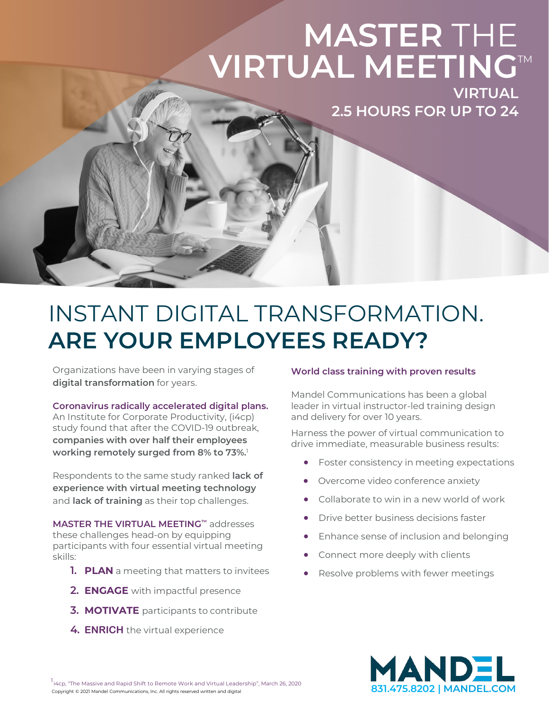# **MASTER** THE **VIRTUAL MEETINGTM**

**VIRTUAL 2.5 HOURS FOR UP TO 24**

### INSTANT DIGITAL TRANSFORMATION. **ARE YOUR EMPLOYEES READY?**

Organizations have been in varying stages of **digital transformation** for years.

**Coronavirus radically accelerated digital plans.** 

An Institute for Corporate Productivity, (i4cp) study found that after the COVID-19 outbreak, **companies with over half their employees working remotely surged from 8% to 73%.** 1

Respondents to the same study ranked **lack of experience with virtual meeting technology** and **lack of training** as their top challenges.

**MASTER THE VIRTUAL MEETING™** addresses these challenges head-on by equipping participants with four essential virtual meeting skills:

- **1. PLAN** a meeting that matters to invitees
- **2. ENGAGE** with impactful presence
- **3. MOTIVATE** participants to contribute
- **4. ENRICH** the virtual experience

#### **World class training with proven results**

Mandel Communications has been a global leader in virtual instructor-led training design and delivery for over 10 years.

Harness the power of virtual communication to drive immediate, measurable business results:

- Foster consistency in meeting expectations
- Overcome video conference anxiety
- Collaborate to win in a new world of work
- Drive better business decisions faster
- Enhance sense of inclusion and belonging
- Connect more deeply with clients
- Resolve problems with fewer meetings